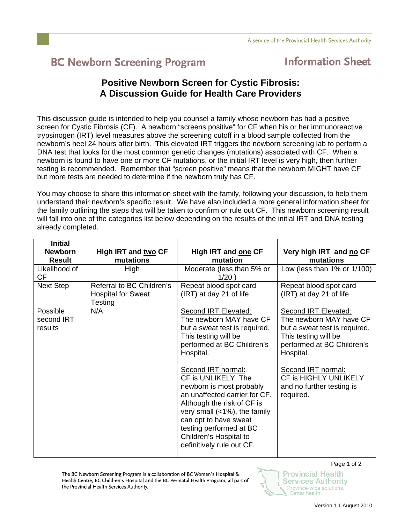## **BC Newborn Screening Program**

## **Information Sheet**

## **Positive Newborn Screen for Cystic Fibrosis: A Discussion Guide for Health Care Providers**

This discussion guide is intended to help you counsel a family whose newborn has had a positive screen for Cystic Fibrosis (CF). A newborn "screens positive" for CF when his or her immunoreactive trypsinogen (IRT) level measures above the screening cutoff in a blood sample collected from the newborn's heel 24 hours after birth. This elevated IRT triggers the newborn screening lab to perform a DNA test that looks for the most common genetic changes (mutations) associated with CF. When a newborn is found to have one or more CF mutations, or the initial IRT level is very high, then further testing is recommended. Remember that "screen positive" means that the newborn MIGHT have CF but more tests are needed to determine if the newborn truly has CF.

You may choose to share this information sheet with the family, following your discussion, to help them understand their newborn's specific result. We have also included a more general information sheet for the family outlining the steps that will be taken to confirm or rule out CF. This newborn screening result will fall into one of the categories list below depending on the results of the initial IRT and DNA testing already completed.

| <b>Initial</b><br><b>Newborn</b><br><b>Result</b> | High IRT and two CF<br>mutations                                  | High IRT and one CF<br>mutation                                                                                                                                                                                                                                                                                                                                                                                                        | Very high IRT and no CF<br>mutations                                                                                                                                                                                                         |
|---------------------------------------------------|-------------------------------------------------------------------|----------------------------------------------------------------------------------------------------------------------------------------------------------------------------------------------------------------------------------------------------------------------------------------------------------------------------------------------------------------------------------------------------------------------------------------|----------------------------------------------------------------------------------------------------------------------------------------------------------------------------------------------------------------------------------------------|
| Likelihood of<br><b>CF</b>                        | High                                                              | Moderate (less than 5% or<br>1/20)                                                                                                                                                                                                                                                                                                                                                                                                     | Low (less than $1\%$ or $1/100$ )                                                                                                                                                                                                            |
| Next Step                                         | Referral to BC Children's<br><b>Hospital for Sweat</b><br>Testing | Repeat blood spot card<br>(IRT) at day 21 of life                                                                                                                                                                                                                                                                                                                                                                                      | Repeat blood spot card<br>(IRT) at day 21 of life                                                                                                                                                                                            |
| Possible<br>second IRT<br>results                 | N/A                                                               | Second IRT Elevated:<br>The newborn MAY have CF<br>but a sweat test is required.<br>This testing will be<br>performed at BC Children's<br>Hospital.<br>Second IRT normal:<br>CF is UNLIKELY. The<br>newborn is most probably<br>an unaffected carrier for CF.<br>Although the risk of CF is<br>very small (<1%), the family<br>can opt to have sweat<br>testing performed at BC<br>Children's Hospital to<br>definitively rule out CF. | Second IRT Elevated:<br>The newborn MAY have CF<br>but a sweat test is required.<br>This testing will be<br>performed at BC Children's<br>Hospital.<br>Second IRT normal:<br>CF is HIGHLY UNLIKELY<br>and no further testing is<br>required. |

The BC Newborn Screening Program is a collaboration of BC Women's Hospital & Health Centre, BC Children's Hospital and the BC Perinatal Health Program, all part of the Provincial Health Services Authority.

Page 1 of 2

**Provincial Health** 

**Services Authority** 

Province-wide solutions. Better health.